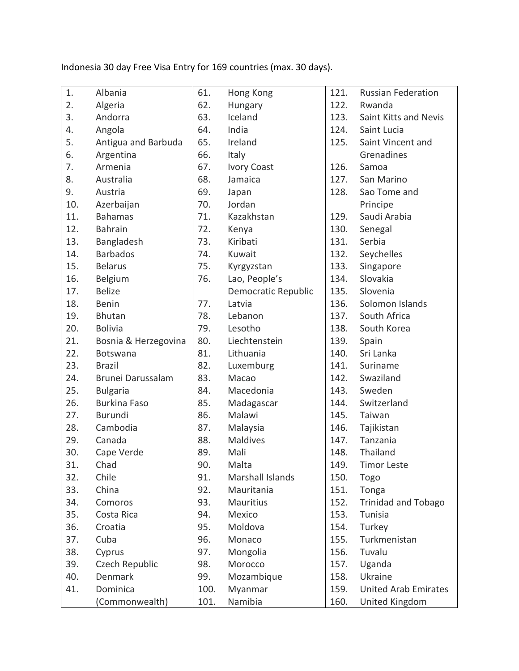Indonesia 30 day Free Visa Entry for 169 [countries](http://topbali.com/indonesia-visa/#visa-free) (max. 30 days).

| 1.  | Albania              | 61.  | Hong Kong           | 121. | <b>Russian Federation</b>   |
|-----|----------------------|------|---------------------|------|-----------------------------|
| 2.  | Algeria              | 62.  | Hungary             | 122. | Rwanda                      |
| 3.  | Andorra              | 63.  | Iceland             | 123. | Saint Kitts and Nevis       |
| 4.  | Angola               | 64.  | India               | 124. | Saint Lucia                 |
| 5.  | Antigua and Barbuda  | 65.  | Ireland             | 125. | Saint Vincent and           |
| 6.  | Argentina            | 66.  | Italy               |      | Grenadines                  |
| 7.  | Armenia              | 67.  | <b>Ivory Coast</b>  | 126. | Samoa                       |
| 8.  | Australia            | 68.  | Jamaica             | 127. | San Marino                  |
| 9.  | Austria              | 69.  | Japan               | 128. | Sao Tome and                |
| 10. | Azerbaijan           | 70.  | Jordan              |      | Principe                    |
| 11. | <b>Bahamas</b>       | 71.  | Kazakhstan          | 129. | Saudi Arabia                |
| 12. | <b>Bahrain</b>       | 72.  | Kenya               | 130. | Senegal                     |
| 13. | Bangladesh           | 73.  | Kiribati            | 131. | Serbia                      |
| 14. | <b>Barbados</b>      | 74.  | Kuwait              | 132. | Seychelles                  |
| 15. | <b>Belarus</b>       | 75.  | Kyrgyzstan          | 133. | Singapore                   |
| 16. | Belgium              | 76.  | Lao, People's       | 134. | Slovakia                    |
| 17. | <b>Belize</b>        |      | Democratic Republic | 135. | Slovenia                    |
| 18. | Benin                | 77.  | Latvia              | 136. | Solomon Islands             |
| 19. | <b>Bhutan</b>        | 78.  | Lebanon             | 137. | South Africa                |
| 20. | <b>Bolivia</b>       | 79.  | Lesotho             | 138. | South Korea                 |
| 21. | Bosnia & Herzegovina | 80.  | Liechtenstein       | 139. | Spain                       |
| 22. | Botswana             | 81.  | Lithuania           | 140. | Sri Lanka                   |
| 23. | <b>Brazil</b>        | 82.  | Luxemburg           | 141. | Suriname                    |
| 24. | Brunei Darussalam    | 83.  | Macao               | 142. | Swaziland                   |
| 25. | <b>Bulgaria</b>      | 84.  | Macedonia           | 143. | Sweden                      |
| 26. | <b>Burkina Faso</b>  | 85.  | Madagascar          | 144. | Switzerland                 |
| 27. | <b>Burundi</b>       | 86.  | Malawi              | 145. | Taiwan                      |
| 28. | Cambodia             | 87.  | Malaysia            | 146. | Tajikistan                  |
| 29. | Canada               | 88.  | <b>Maldives</b>     | 147. | Tanzania                    |
| 30. | Cape Verde           | 89.  | Mali                | 148. | Thailand                    |
| 31. | Chad                 | 90.  | Malta               | 149. | <b>Timor Leste</b>          |
| 32. | Chile                | 91.  | Marshall Islands    | 150. | Togo                        |
| 33. | China                | 92.  | Mauritania          | 151. | Tonga                       |
| 34. | Comoros              | 93.  | Mauritius           | 152. | <b>Trinidad and Tobago</b>  |
| 35. | Costa Rica           | 94.  | Mexico              | 153. | Tunisia                     |
| 36. | Croatia              | 95.  | Moldova             | 154. | Turkey                      |
| 37. | Cuba                 | 96.  | Monaco              | 155. | Turkmenistan                |
| 38. | Cyprus               | 97.  | Mongolia            | 156. | Tuvalu                      |
| 39. | Czech Republic       | 98.  | Morocco             | 157. | Uganda                      |
| 40. | <b>Denmark</b>       | 99.  | Mozambique          | 158. | Ukraine                     |
| 41. | Dominica             | 100. | Myanmar             | 159. | <b>United Arab Emirates</b> |
|     | (Commonwealth)       | 101. | Namibia             | 160. | United Kingdom              |